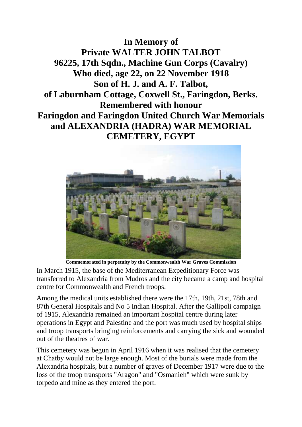**In Memory of Private WALTER JOHN TALBOT 96225, 17th Sqdn., Machine Gun Corps (Cavalry) Who died, age 22, on 22 November 1918 Son of H. J. and A. F. Talbot, of Laburnham Cottage, Coxwell St., Faringdon, Berks. Remembered with honour Faringdon and Faringdon United Church War Memorials and ALEXANDRIA (HADRA) WAR MEMORIAL CEMETERY, EGYPT**



**Commemorated in perpetuity by the Commonwealth War Graves Commission** 

In March 1915, the base of the Mediterranean Expeditionary Force was transferred to Alexandria from Mudros and the city became a camp and hospital centre for Commonwealth and French troops.

Among the medical units established there were the 17th, 19th, 21st, 78th and 87th General Hospitals and No 5 Indian Hospital. After the Gallipoli campaign of 1915, Alexandria remained an important hospital centre during later operations in Egypt and Palestine and the port was much used by hospital ships and troop transports bringing reinforcements and carrying the sick and wounded out of the theatres of war.

This cemetery was begun in April 1916 when it was realised that the cemetery at Chatby would not be large enough. Most of the burials were made from the Alexandria hospitals, but a number of graves of December 1917 were due to the loss of the troop transports "Aragon" and "Osmanieh" which were sunk by torpedo and mine as they entered the port.